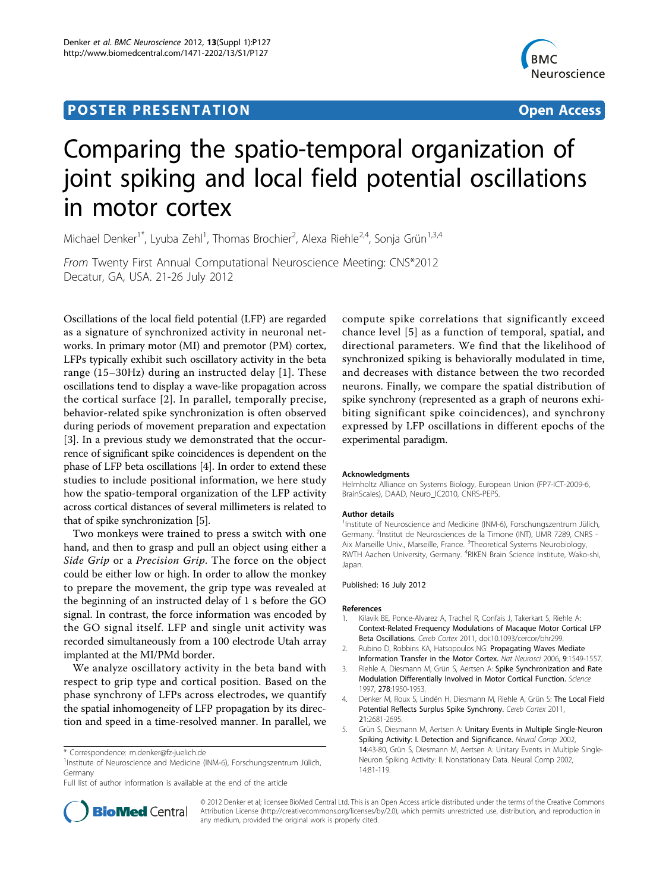## **POSTER PRESENTATION CONSUMING ACCESS**



# Comparing the spatio-temporal organization of joint spiking and local field potential oscillations in motor cortex

Michael Denker<sup>1\*</sup>, Lyuba Zehl<sup>1</sup>, Thomas Brochier<sup>2</sup>, Alexa Riehle<sup>2,4</sup>, Sonja Grün<sup>1,3,4</sup>

From Twenty First Annual Computational Neuroscience Meeting: CNS\*2012 Decatur, GA, USA. 21-26 July 2012

Oscillations of the local field potential (LFP) are regarded as a signature of synchronized activity in neuronal networks. In primary motor (MI) and premotor (PM) cortex, LFPs typically exhibit such oscillatory activity in the beta range (15–30Hz) during an instructed delay [1]. These oscillations tend to display a wave-like propagation across the cortical surface [2]. In parallel, temporally precise, behavior-related spike synchronization is often observed during periods of movement preparation and expectation [3]. In a previous study we demonstrated that the occurrence of significant spike coincidences is dependent on the phase of LFP beta oscillations [4]. In order to extend these studies to include positional information, we here study how the spatio-temporal organization of the LFP activity across cortical distances of several millimeters is related to that of spike synchronization [5].

Two monkeys were trained to press a switch with one hand, and then to grasp and pull an object using either a Side Grip or a Precision Grip. The force on the object could be either low or high. In order to allow the monkey to prepare the movement, the grip type was revealed at the beginning of an instructed delay of 1 s before the GO signal. In contrast, the force information was encoded by the GO signal itself. LFP and single unit activity was recorded simultaneously from a 100 electrode Utah array implanted at the MI/PMd border.

We analyze oscillatory activity in the beta band with respect to grip type and cortical position. Based on the phase synchrony of LFPs across electrodes, we quantify the spatial inhomogeneity of LFP propagation by its direction and speed in a time-resolved manner. In parallel, we

<sup>1</sup>Institute of Neuroscience and Medicine (INM-6), Forschungszentrum Jülich, Germany

Full list of author information is available at the end of the article

compute spike correlations that significantly exceed chance level [5] as a function of temporal, spatial, and directional parameters. We find that the likelihood of synchronized spiking is behaviorally modulated in time, and decreases with distance between the two recorded neurons. Finally, we compare the spatial distribution of spike synchrony (represented as a graph of neurons exhibiting significant spike coincidences), and synchrony expressed by LFP oscillations in different epochs of the experimental paradigm.

#### Acknowledgments

Helmholtz Alliance on Systems Biology, European Union (FP7-ICT-2009-6, BrainScales), DAAD, Neuro IC2010, CNRS-PEPS.

#### Author details

<sup>1</sup>Institute of Neuroscience and Medicine (INM-6), Forschungszentrum Jülich Germany. <sup>2</sup>Institut de Neurosciences de la Timone (INT), UMR 7289, CNRS -Aix Marseille Univ., Marseille, France. <sup>3</sup>Theoretical Systems Neurobiology RWTH Aachen University, Germany. <sup>4</sup>RIKEN Brain Science Institute, Wako-shi, Japan.

#### Published: 16 July 2012

#### References

- 1. Kilavik BE, Ponce-Alvarez A, Trachel R, Confais J, Takerkart S, Riehle A: Context-Related Frequency Modulations of Macaque Motor Cortical LFP Beta Oscillations. Cereb Cortex 2011, doi:10.1093/cercor/bhr299.
- 2. Rubino D, Robbins KA, Hatsopoulos NG: [Propagating Waves Mediate](http://www.ncbi.nlm.nih.gov/pubmed/17115042?dopt=Abstract) [Information Transfer in the Motor Cortex.](http://www.ncbi.nlm.nih.gov/pubmed/17115042?dopt=Abstract) Nat Neurosci 2006, 9:1549-1557.
- 3. Riehle A, Diesmann M, Grün S, Aertsen A: [Spike Synchronization and Rate](http://www.ncbi.nlm.nih.gov/pubmed/9395398?dopt=Abstract) [Modulation Differentially Involved in Motor Cortical Function.](http://www.ncbi.nlm.nih.gov/pubmed/9395398?dopt=Abstract) Science 1997, 278:1950-1953.
- 4. Denker M, Roux S, Lindén H, Diesmann M, Riehle A, Grün S: [The Local Field](http://www.ncbi.nlm.nih.gov/pubmed/21508303?dopt=Abstract) [Potential Reflects Surplus Spike Synchrony.](http://www.ncbi.nlm.nih.gov/pubmed/21508303?dopt=Abstract) Cereb Cortex 2011, 21:2681-2695.
- 5. Grün S, Diesmann M, Aertsen A: Unitary Events in Multiple Single-Neuron Spiking Activity: I. Detection and Significance. Neural Comp 2002, 14:43-80, Grün S, Diesmann M, Aertsen A: Unitary Events in Multiple Single-Neuron Spiking Activity: II. Nonstationary Data. Neural Comp 2002, 14:81-119.



© 2012 Denker et al; licensee BioMed Central Ltd. This is an Open Access article distributed under the terms of the Creative Commons Attribution License [\(http://creativecommons.org/licenses/by/2.0](http://creativecommons.org/licenses/by/2.0)), which permits unrestricted use, distribution, and reproduction in any medium, provided the original work is properly cited.

<sup>\*</sup> Correspondence: [m.denker@fz-juelich.de](mailto:m.denker@fz-juelich.de)